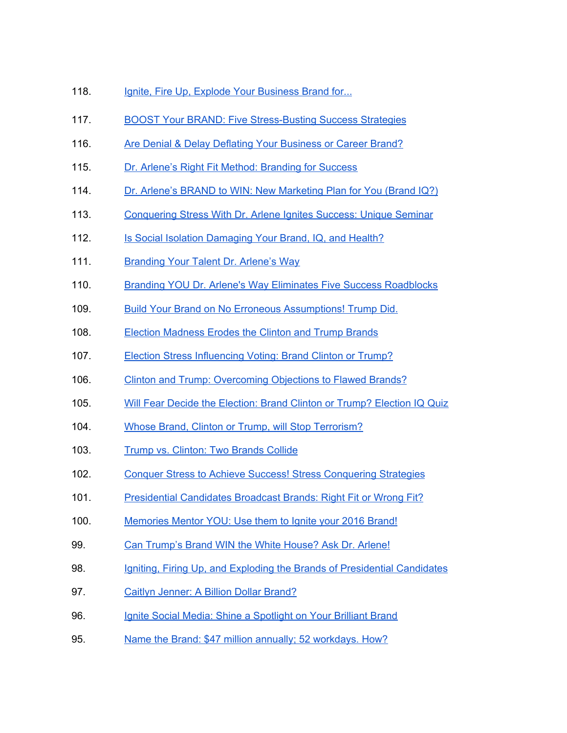- 118. Ignite, Fire Up, Explode Your [Business](https://www.blogtalkradio.com/dr-arlene-barro-/2013/09/04/ignite-fire-up-explode-your-brand-for-unparalleled-success) Brand for...
- 117. BOOST Your BRAND: Five [Stress-Busting](https://www.blogtalkradio.com/dr-arlene-barro-/2019/01/24/boost-your-brand-five-stress-busting-success-strategies) Success Strategies
- 116. Are Denial & Delay Deflating Your [Business](https://www.blogtalkradio.com/dr-arlene-barro-/2017/11/03/are-denial-delay-deflating-your-business-or-career-brand) or Career Brand?
- 115. Dr. Arlene's Right Fit Method: [Branding](https://www.blogtalkradio.com/dr-arlene-barro-/2017/06/27/dr-arlenes-right-fit-method-branding-for-success) for Success
- 114. Dr. Arlene's BRAND to WIN: New [Marketing](https://www.blogtalkradio.com/dr-arlene-barro-/2017/05/24/dr-arlenes-brand-to-win-new-marketing-plan-for-you-brand-iq) Plan for You (Brand IQ?)
- 113. [Conquering](https://www.blogtalkradio.com/dr-arlene-barro-/2017/04/19/conquering-stress-with-dr-arlene-ignites-success-unique-seminar) Stress With Dr. Arlene Ignites Success: Unique Seminar
- 112. Is Social Isolation [Damaging](https://www.blogtalkradio.com/dr-arlene-barro-/2017/03/17/is-social-isolation-damaging-your-brand-iq-and-health) Your Brand, IQ, and Health?
- 111. [Branding](https://www.blogtalkradio.com/dr-arlene-barro-/2017/01/06/branding-your-talent-dr-arlenes-way) Your Talent Dr. Arlene's Way
- 110. Branding YOU Dr. Arlene's Way Eliminates Five Success [Roadblocks](https://www.blogtalkradio.com/dr-arlene-barro-/2016/12/16/branding-you-dr-arlenes-way-eliminates-five-success-roadblocks)
- 109. Build Your Brand on No Erroneous [Assumptions!](https://www.blogtalkradio.com/dr-arlene-barro-/2016/12/02/build-your-brand-on-no-erroneous-assumptions-trump-did) Trump Did.
- 108. Election [Madness](https://www.blogtalkradio.com/dr-arlene-barro-/2016/10/28/election-madness-erodes-the-clinton-and-trump-brands) Erodes the Clinton and Trump Brands
- 107. Election Stress [Influencing](https://www.blogtalkradio.com/dr-arlene-barro-/2016/09/30/election-stress-influencing-voting-brand-clinton-or-trump) Voting: Brand Clinton or Trump?
- 106. Clinton and Trump: [Overcoming](https://www.blogtalkradio.com/dr-arlene-barro-/2016/09/01/clinton-and-trump-overcoming-objections-to-flawed-brands) Objections to Flawed Brands?
- 105. Will Fear Decide the [Election:](https://www.blogtalkradio.com/dr-arlene-barro-/2016/07/27/will-fear-decide-the-election-brand-clinton-or-trump-election-iq-quiz) Brand Clinton or Trump? Election IQ Quiz
- 104. Whose Brand, Clinton or Trump, will Stop [Terrorism?](https://www.blogtalkradio.com/dr-arlene-barro-/2016/06/30/whose-brand-clinton-or-trump-will-stop-terrorism-2)
- 103. Trump vs. [Clinton:](https://www.blogtalkradio.com/dr-arlene-barro-/2016/05/26/trump-vs-clinton-two-brands-collide) Two Brands Collide
- 102. Conquer Stress to Achieve Success! Stress [Conquering](https://www.blogtalkradio.com/dr-arlene-barro-/2016/04/28/conquer-stress-to-achieve-success-stress-conquering-strategies) Strategies
- 101. [Presidential](https://www.blogtalkradio.com/dr-arlene-barro-/2016/03/24/presidential-candidates-broadcast-brands-right-fit-or-wrong-fit) Candidates Broadcast Brands: Right Fit or Wrong Fit?
- 100. [Memories](https://www.blogtalkradio.com/dr-arlene-barro-/2016/01/14/memories-mentor-you-use-them-to-ignite-your-2016-brand) Mentor YOU: Use them to Ignite your 2016 Brand!
- 99. Can [Trump's](https://www.blogtalkradio.com/dr-arlene-barro-/2015/09/29/can-trumps-brand-win-the-white-house-ask-dr-arlene) Brand WIN the White House? Ask Dr. Arlene!
- 98. Igniting, Firing Up, and Exploding the Brands of [Presidential](https://www.blogtalkradio.com/dr-arlene-barro-/2015/07/31/igniting-firing-up-and-exploding-the-brands-of-presidential-candidates-1) Candidates
- 97. Caitlyn [Jenner:](https://www.blogtalkradio.com/dr-arlene-barro-/2015/06/26/caitlyn-jenner-a-billion-dollar-brand) A Billion Dollar Brand?
- 96. Ignite Social Media: Shine a [Spotlight](https://www.blogtalkradio.com/dr-arlene-barro-/2015/05/29/ignite-social-media-shine-a-spotlight-on-your-brilliant-brand-1) on Your Brilliant Brand
- 95. Name the Brand: \$47 million annually; 52 [workdays.](https://www.blogtalkradio.com/dr-arlene-barro-/2015/05/01/name-the-brand-47-million-annually-52-workdays-how) How?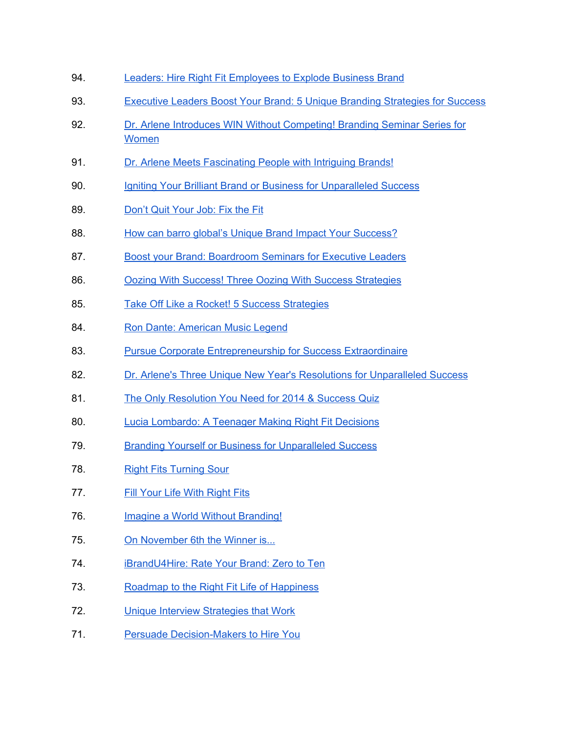- 94. Leaders: Hire Right Fit [Employees](https://www.blogtalkradio.com/dr-arlene-barro-/2015/03/27/leaders-hire-right-fit-employees-to-explode-business-brand) to Explode Business Brand
- 93. Executive Leaders Boost Your Brand: 5 Unique Branding [Strategies](https://www.blogtalkradio.com/dr-arlene-barro-/2015/02/20/executive-leaders-boost-your-brand-5-unique-branding-strategies-for-success) for Success
- 92. Dr. Arlene Introduces WIN Without [Competing!](https://www.blogtalkradio.com/dr-arlene-barro-/2015/01/16/dr-arlene-introduces-win-without-competing-branding-seminar-series-for-women) Branding Seminar Series for [Women](https://www.blogtalkradio.com/dr-arlene-barro-/2015/01/16/dr-arlene-introduces-win-without-competing-branding-seminar-series-for-women)
- 91. Dr. Arlene Meets [Fascinating](https://www.blogtalkradio.com/dr-arlene-barro-/2014/12/19/dr-arlene-meets-fascinating-people-with-intriguing-brands) People with Intriguing Brands!
- 90. Igniting Your Brilliant Brand or Business for [Unparalleled](https://www.blogtalkradio.com/dr-arlene-barro-/2014/12/05/igniting-your-brilliant-brand-or-business-for-unparalleled-success) Success
- 89. [Don't](https://www.blogtalkradio.com/dr-arlene-barro-/2014/11/21/dont-quit-your-job-fix-the-fit) Quit Your Job: Fix the Fit
- 88. How can barro global's Unique Brand Impact Your [Success?](https://www.blogtalkradio.com/dr-arlene-barro-/2014/10/31/how-can-barro-globals-unique-brand-impact-your-success)
- 87. Boost your Brand: [Boardroom](https://www.blogtalkradio.com/dr-arlene-barro-/2014/09/17/boost-your-brand-boardroom-seminars-for-executive-leaders) Seminars for Executive Leaders
- 86. Oozing With Success! Three Oozing With Success [Strategies](https://www.blogtalkradio.com/dr-arlene-barro-/2014/06/05/oozing-with-success-three-oozing-with-success-strategies)
- 85. Take Off Like a Rocket! 5 Success [Strategies](https://www.blogtalkradio.com/dr-arlene-barro-/2014/04/17/take-off-like-a-rocket-5-success-strategies)
- 84. Ron Dante: [American](https://www.blogtalkradio.com/dr-arlene-barro-/2014/03/12/ron-dante-american-music-legend) Music Legend
- 83. Pursue Corporate [Entrepreneurship](https://www.blogtalkradio.com/dr-arlene-barro-/2014/02/27/pursue-corporate-entrepreneurship-for-success-extraordinaire-1) for Success Extraordinaire
- 82. Dr. Arlene's Three Unique New Year's Resolutions for [Unparalleled](https://www.blogtalkradio.com/dr-arlene-barro-/2014/01/04/dr-arlenes-three-unique-new-years-resolutions-for-unparalleled-success) Success
- 81. The Only [Resolution](https://www.blogtalkradio.com/dr-arlene-barro-/2013/12/04/the-only-resolution-you-need-for-2014-success-quiz) You Need for 2014 & Success Quiz
- 80. Lucia [Lombardo:](https://www.blogtalkradio.com/dr-arlene-barro-/2013/08/08/lucia-lombardo-a-teenager-making-right-fit-decisions-1) A Teenager Making Right Fit Decisions
- 79. Branding Yourself or Business for [Unparalleled](https://www.blogtalkradio.com/dr-arlene-barro-/2013/07/04/branding-yourself-or-business-for-unparalleled-success) Success
- 78. Right Fits [Turning](https://www.blogtalkradio.com/dr-arlene-barro-/2013/04/04/right-fits-turning-sour) Sour
- 77. Fill Your Life With [Right](https://www.blogtalkradio.com/dr-arlene-barro-/2013/02/28/fill-your-life-with-right-fits) Fits
- 76. Imagine a World Without [Branding!](https://www.blogtalkradio.com/dr-arlene-barro-/2012/12/14/imagine-a-world-without-branding)
- 75. On [November](https://www.blogtalkradio.com/dr-arlene-barro-/2012/10/18/win-without-competing-with-dr-arlene-barro) 6th the Winner is...
- 74. [iBrandU4Hire:](https://www.blogtalkradio.com/dr-arlene-barro-/2012/07/12/win-without-competing-with-dr-arlene-1) Rate Your Brand: Zero to Ten
- 73. Roadmap to the Right Fit Life of [Happiness](https://www.blogtalkradio.com/dr-arlene-barro-/2012/06/07/win-without-competing-with-dr-arlene)
- 72. Unique Interview [Strategies](https://www.blogtalkradio.com/dr-arlene-barro-/2012/05/24/unique-interview-strategies-that-work-your-isiq-is) that Work
- 71. Persuade [Decision-Makers](https://www.blogtalkradio.com/dr-arlene-barro-/2012/04/26/persuade-decision-makersdm-to-hire-you-your-dmiq-is-1) to Hire You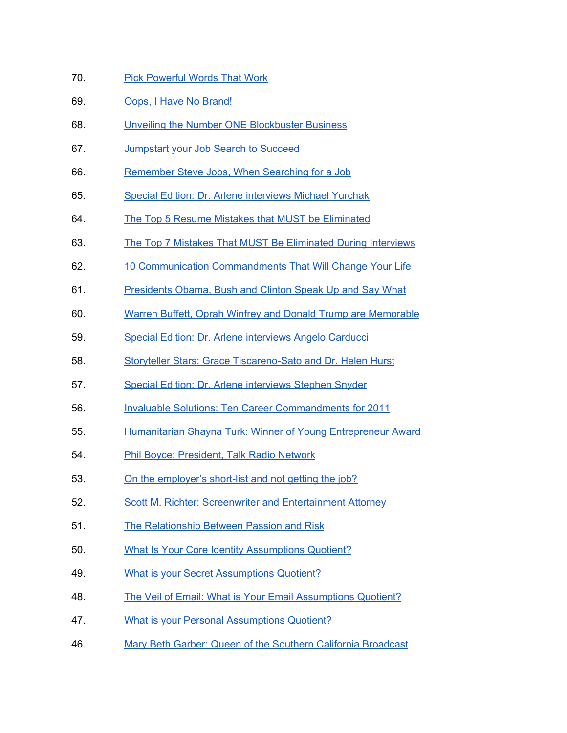- 70. Pick [Powerful](https://www.blogtalkradio.com/dr-arlene-barro-/2012/03/15/win-without-competing-with-dr-arlene) Words That Work
- 69. Oops, I Have No [Brand!](https://www.blogtalkradio.com/dr-arlene-barro-/2012/02/23/win-without-competing-with-dr-arlene)
- 68. Unveiling the Number ONE [Blockbuster](https://www.blogtalkradio.com/dr-arlene-barro-/2012/01/19/win-without-competing-with-dr-arlene) Business
- 67. [Jumpstart](https://www.blogtalkradio.com/dr-arlene-barro-/2011/12/01/win-without-competing-with-dr-arlene) your Job Search to Succeed
- 66. [Remember](https://www.blogtalkradio.com/dr-arlene-barro-/2011/10/27/win-without-competing-with-dr-arlene) Steve Jobs, When Searching for a Job
- 65. Special Edition: Dr. Arlene [interviews](https://www.blogtalkradio.com/dr-arlene-barro-/2011/09/22/win-without-competing-with-dr-arlene) Michael Yurchak
- 64. The Top 5 Resume Mistakes that MUST be [Eliminated](https://www.blogtalkradio.com/dr-arlene-barro-/2011/09/01/win-without-competing-with-dr-arlene)
- 63. The Top 7 Mistakes That MUST Be [Eliminated](https://www.blogtalkradio.com/dr-arlene-barro-/2011/07/21/win-without-competing-with-dr-arlene) During Interviews
- 62. 10 Communication [Commandments](https://www.blogtalkradio.com/dr-arlene-barro-/2011/05/26/win-without-competing-with-dr-arlene) That Will Change Your Life
- 61. [Presidents](https://www.blogtalkradio.com/dr-arlene-barro-/2011/04/28/win-without-competing-with-dr-arlene-barro) Obama, Bush and Clinton Speak Up and Say What
- 60. Warren Buffett, Oprah Winfrey and Donald Trump are [Memorable](https://www.blogtalkradio.com/dr-arlene-barro-/2011/03/24/win-without-competing-with-dr-arlene)
- 59. Special Edition: Dr. Arlene [interviews](https://www.blogtalkradio.com/dr-arlene-barro-/2011/03/09/special-edition-of-win-without-competing-with-dr-arlene-barro) Angelo Carducci
- 58. Storyteller Stars: Grace [Tiscareno-Sato](https://www.blogtalkradio.com/dr-arlene-barro-/2011/02/24/win-without-competing-with-dr-arlene) and Dr. Helen Hurst
- 57. Special Edition: Dr. Arlene [interviews](https://www.blogtalkradio.com/dr-arlene-barro-/2011/02/12/special-edition-of-win-without-competing-with-dr-arlene-barro) Stephen Snyder
- 56. Invaluable Solutions: Ten Career [Commandments](https://www.blogtalkradio.com/dr-arlene-barro-/2011/01/06/win-without-competing-with-dr-arlene) for 2011
- 55. [Humanitarian](https://www.blogtalkradio.com/dr-arlene-barro-/2010/11/18/win-without-competing-with-dr-arlene) Shayna Turk: Winner of Young Entrepreneur Award
- 54. Phil Boyce: [President,](https://www.blogtalkradio.com/dr-arlene-barro-/2010/10/21/win-without-competing-with-dr-arlene) Talk Radio Network
- 53. On the [employer's](https://www.blogtalkradio.com/dr-arlene-barro-/2010/09/13/win-without-competing-with-dr-arlene-barro) short-list and not getting the job?
- 52. Scott M. Richter: Screenwriter and [Entertainment](https://www.blogtalkradio.com/dr-arlene-barro-/2010/07/22/win-without-competing-with-dr-arlene) Attorney
- 51. The [Relationship](https://www.blogtalkradio.com/dr-arlene-barro-/2010/05/13/win-without-competing-with-dr-arlene-barro-special) Between Passion and Risk
- 50. What Is Your Core Identity [Assumptions](https://www.blogtalkradio.com/dr-arlene-barro-/2010/04/22/win-without-competing-with-dr-arlene-barro-special) Quotient?
- 49. What is your Secret [Assumptions](https://www.blogtalkradio.com/dr-arlene-barro-/2010/03/25/win-without-competing-with-dr-arlene-barro-special) Quotient?
- 48. The Veil of Email: What is Your Email [Assumptions](https://www.blogtalkradio.com/dr-arlene-barro-/2010/02/18/win-without-competing-with-dr-arlene-barro) Quotient?
- 47. What is your Personal [Assumptions](https://www.blogtalkradio.com/dr-arlene-barro-/2010/01/14/win-without-competing-with-dr-arlene-barro-special) Quotient?
- 46. Mary Beth Garber: Queen of the Southern California [Broadcast](https://www.blogtalkradio.com/dr-arlene-barro-/2009/12/10/WIN-Without-Competing-with-Dr-Arlene-Barro)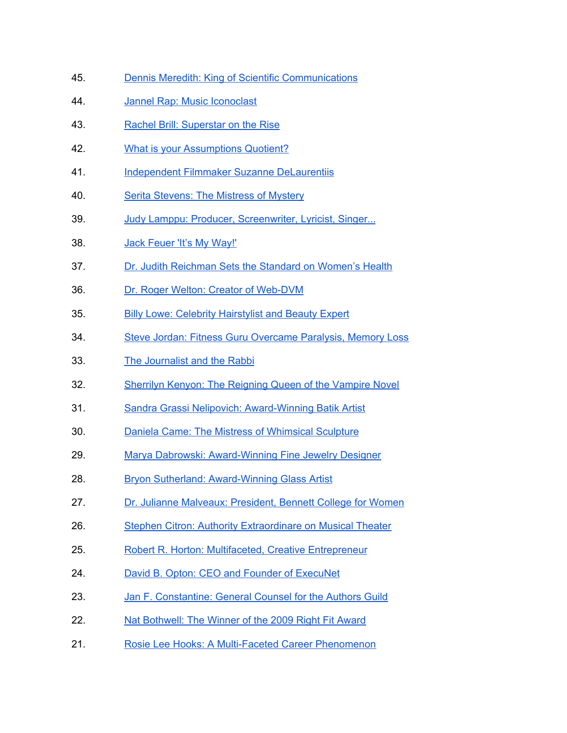- 45. Dennis Meredith: King of Scientific [Communications](https://www.blogtalkradio.com/dr-arlene-barro-/2009/12/03/WIN-Without-Competing-with-Dr-Arlene-Barro)
- 44. Jannel Rap: Music [Iconoclast](https://www.blogtalkradio.com/dr-arlene-barro-/2009/11/19/win-without-competing-with-dr-arlene)
- 43. Rachel Brill: [Superstar](https://www.blogtalkradio.com/dr-arlene-barro-/2009/11/05/win-without-competing-with-dr-arlene-barro) on the Rise
- 42. What is your [Assumptions](https://www.blogtalkradio.com/dr-arlene-barro-/2009/10/29/win-without-competing-with-dr-arlene-barro-special) Quotient?
- 41. Independent Filmmaker Suzanne [DeLaurentiis](https://www.blogtalkradio.com/dr-arlene-barro-/2009/10/22/win-without-competing-with-dr-arlene-barro)
- 40. Serita [Stevens:](https://www.blogtalkradio.com/dr-arlene-barro-/2009/10/08/win-without-competing-with-dr-arlene-barro) The Mistress of Mystery
- 39. Judy Lamppu: Producer, [Screenwriter,](https://www.blogtalkradio.com/dr-arlene-barro-/2009/09/17/win-without-competing-with-dr-arlene-barro) Lyricist, Singer...
- 38. Jack [Feuer](https://www.blogtalkradio.com/dr-arlene-barro-/2009/09/10/win-without-competing-with-dr-arlene-barro) 'It's My Way!'
- 37. Dr. Judith [Reichman](https://www.blogtalkradio.com/dr-arlene-barro-/2009/09/03/WIN-Without-Competing-with-Dr-Arlene-Barro) Sets the Standard on Women's Health
- 36. Dr. Roger Welton: Creator of [Web-DVM](https://www.blogtalkradio.com/dr-arlene-barro-/2009/08/13/WIN-Without-Competing-with-Dr-Arlene-Barro)
- 35. Billy Lowe: Celebrity [Hairstylist](https://www.blogtalkradio.com/dr-arlene-barro-/2009/08/06/WIN-Without-Competing-with-Dr-Arlene-Barro) and Beauty Expert
- 34. Steve Jordan: Fitness Guru [Overcame](https://www.blogtalkradio.com/dr-arlene-barro-/2009/07/30/WIN-Without-Competing-with-Dr-Arlene-Barro) Paralysis, Memory Loss
- 33. The [Journalist](https://www.blogtalkradio.com/dr-arlene-barro-/2009/07/16/WIN-Without-Competing-with-Dr-Arlene-Barro) and the Rabbi
- 32. Sherrilyn Kenyon: The [Reigning](https://www.blogtalkradio.com/dr-arlene-barro-/2009/07/09/WIN-Without-Competing-with-Dr-Arlene-Barro) Queen of the Vampire Novel
- 31. Sandra Grassi Nelipovich: [Award-Winning](https://www.blogtalkradio.com/dr-arlene-barro-/2009/07/02/WIN-Without-Competing-with-Dr-Arlene-Barro) Batik Artist
- 30. Daniela Came: The Mistress of [Whimsical](https://www.blogtalkradio.com/dr-arlene-barro-/2009/06/25/WIN-Without-Competing-with-Dr-Arlene-Barro) Sculpture
- 29. Marya Dabrowski: [Award-Winning](https://www.blogtalkradio.com/dr-arlene-barro-/2009/06/18/WIN-Without-Competing-with-Dr-Arlene-Barro) Fine Jewelry Designer
- 28. Bryon Sutherland: [Award-Winning](https://www.blogtalkradio.com/dr-arlene-barro-/2009/06/11/WIN-Without-Competing-with-Dr-Arlene-Barro) Glass Artist
- 27. Dr. Julianne [Malveaux:](https://www.blogtalkradio.com/dr-arlene-barro-/2009/06/04/win-without-competing-with-dr-arlene-barro) President, Bennett College for Women
- 26. Stephen Citron: Authority [Extraordinare](https://www.blogtalkradio.com/dr-arlene-barro-/2009/05/28/win-without-competing-with-dr-arlene-barro) on Musical Theater
- 25. Robert R. Horton: Multifaceted, Creative [Entrepreneur](https://www.blogtalkradio.com/dr-arlene-barro-/2009/05/21/win-without-competing-with-dr-arlene-barro)
- 24. David B. Opton: CEO and Founder of [ExecuNet](https://www.blogtalkradio.com/dr-arlene-barro-/2009/05/14/WIN-Without-Competing-with-Dr-Arlene-Barro)
- 23. Jan F. [Constantine:](https://www.blogtalkradio.com/dr-arlene-barro-/2009/05/07/WIN-Without-Competing-with-Dr-Arlene-Barro) General Counsel for the Authors Guild
- 22. Nat [Bothwell:](https://www.blogtalkradio.com/dr-arlene-barro-/2009/04/23/WIN-Without-Competing-with-Dr-Arlene-Barro) The Winner of the 2009 Right Fit Award
- 21. Rosie Lee Hooks: A [Multi-Faceted](https://www.blogtalkradio.com/dr-arlene-barro-/2009/04/16/win-without-competing-with-dr-arlene-barro) Career Phenomenon